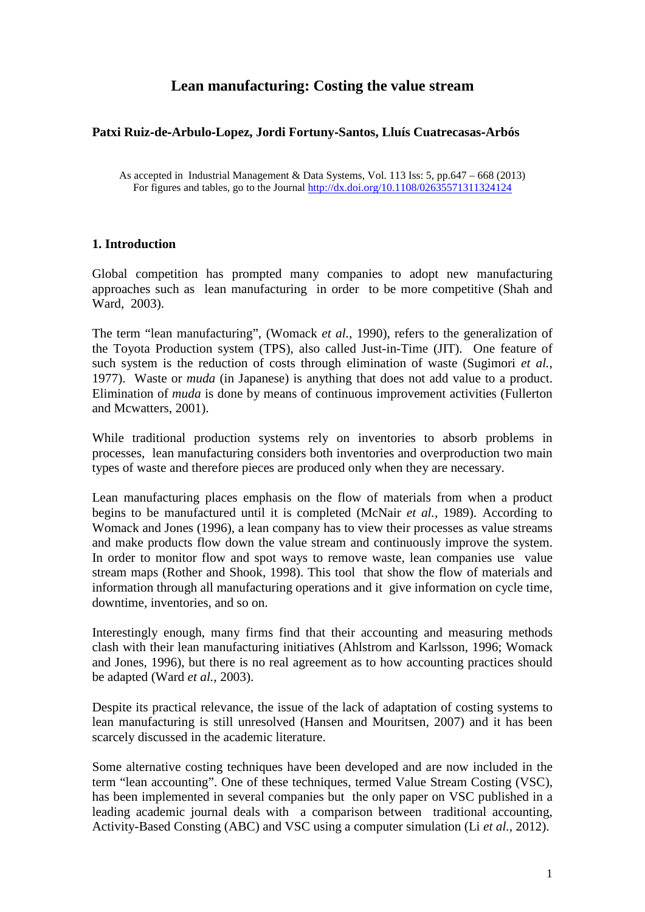# **Lean manufacturing: Costing the value stream**

## **Patxi Ruiz**‐**de**‐**Arbulo**‐**Lopez, Jordi Fortuny**‐**Santos, Lluís Cuatrecasas**‐**Arbós**

As accepted in Industrial Management & Data Systems, Vol. 113 Iss: 5, pp.647 – 668 (2013) For figures and tables, go to the Journal<http://dx.doi.org/10.1108/02635571311324124>

## **1. Introduction**

Global competition has prompted many companies to adopt new manufacturing approaches such as lean manufacturing in order to be more competitive (Shah and Ward, 2003).

The term "lean manufacturing", (Womack *et al.,* 1990), refers to the generalization of the Toyota Production system (TPS), also called Just-in-Time (JIT). One feature of such system is the reduction of costs through elimination of waste (Sugimori *et al.*, 1977). Waste or *muda* (in Japanese) is anything that does not add value to a product. Elimination of *muda* is done by means of continuous improvement activities (Fullerton and Mcwatters, 2001).

While traditional production systems rely on inventories to absorb problems in processes, lean manufacturing considers both inventories and overproduction two main types of waste and therefore pieces are produced only when they are necessary.

Lean manufacturing places emphasis on the flow of materials from when a product begins to be manufactured until it is completed (McNair *et al.,* 1989). According to Womack and Jones (1996), a lean company has to view their processes as value streams and make products flow down the value stream and continuously improve the system. In order to monitor flow and spot ways to remove waste, lean companies use value stream maps (Rother and Shook, 1998). This tool that show the flow of materials and information through all manufacturing operations and it give information on cycle time, downtime, inventories, and so on.

Interestingly enough, many firms find that their accounting and measuring methods clash with their lean manufacturing initiatives (Ahlstrom and Karlsson, 1996; Womack and Jones, 1996), but there is no real agreement as to how accounting practices should be adapted (Ward *et al.*, 2003).

Despite its practical relevance, the issue of the lack of adaptation of costing systems to lean manufacturing is still unresolved (Hansen and Mouritsen, 2007) and it has been scarcely discussed in the academic literature.

Some alternative costing techniques have been developed and are now included in the term "lean accounting". One of these techniques, termed Value Stream Costing (VSC), has been implemented in several companies but the only paper on VSC published in a leading academic journal deals with a comparison between traditional accounting, Activity-Based Consting (ABC) and VSC using a computer simulation (Li *et al.,* 2012).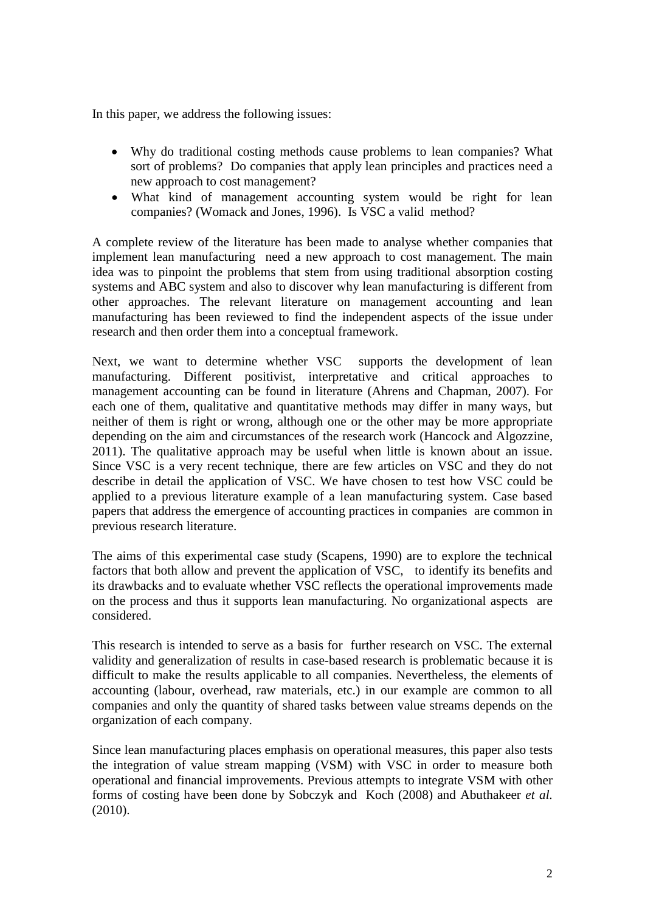In this paper, we address the following issues:

- Why do traditional costing methods cause problems to lean companies? What sort of problems? Do companies that apply lean principles and practices need a new approach to cost management?
- What kind of management accounting system would be right for lean companies? (Womack and Jones, 1996). Is VSC a valid method?

A complete review of the literature has been made to analyse whether companies that implement lean manufacturing need a new approach to cost management. The main idea was to pinpoint the problems that stem from using traditional absorption costing systems and ABC system and also to discover why lean manufacturing is different from other approaches. The relevant literature on management accounting and lean manufacturing has been reviewed to find the independent aspects of the issue under research and then order them into a conceptual framework.

Next, we want to determine whether VSC supports the development of lean manufacturing. Different positivist, interpretative and critical approaches to management accounting can be found in literature (Ahrens and Chapman, 2007). For each one of them, qualitative and quantitative methods may differ in many ways, but neither of them is right or wrong, although one or the other may be more appropriate depending on the aim and circumstances of the research work (Hancock and Algozzine, 2011). The qualitative approach may be useful when little is known about an issue. Since VSC is a very recent technique, there are few articles on VSC and they do not describe in detail the application of VSC. We have chosen to test how VSC could be applied to a previous literature example of a lean manufacturing system. Case based papers that address the emergence of accounting practices in companies are common in previous research literature.

The aims of this experimental case study (Scapens, 1990) are to explore the technical factors that both allow and prevent the application of VSC, to identify its benefits and its drawbacks and to evaluate whether VSC reflects the operational improvements made on the process and thus it supports lean manufacturing. No organizational aspects are considered.

This research is intended to serve as a basis for further research on VSC. The external validity and generalization of results in case-based research is problematic because it is difficult to make the results applicable to all companies. Nevertheless, the elements of accounting (labour, overhead, raw materials, etc.) in our example are common to all companies and only the quantity of shared tasks between value streams depends on the organization of each company.

Since lean manufacturing places emphasis on operational measures, this paper also tests the integration of value stream mapping (VSM) with VSC in order to measure both operational and financial improvements. Previous attempts to integrate VSM with other forms of costing have been done by Sobczyk and Koch (2008) and Abuthakeer *et al.* (2010).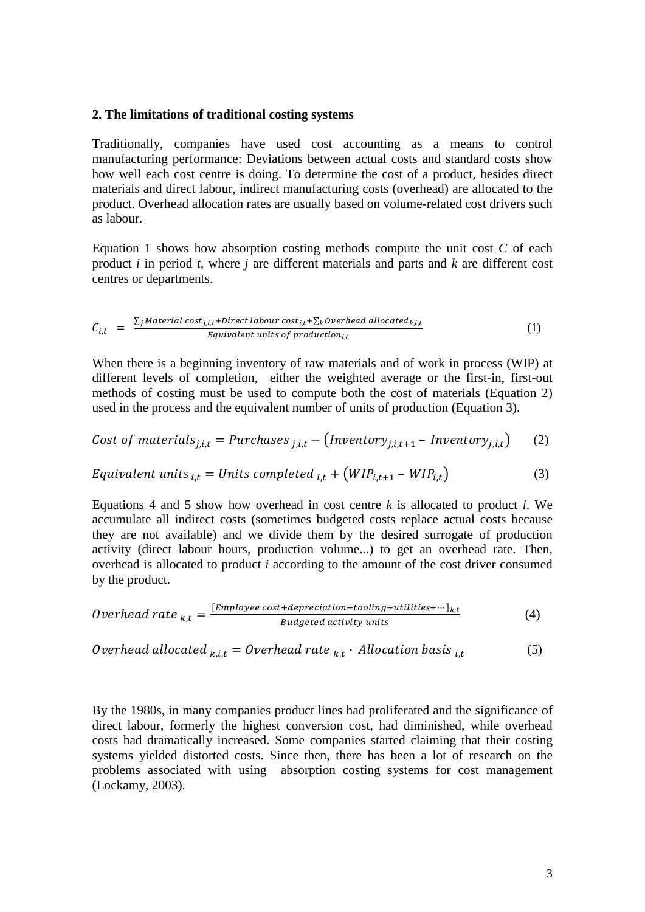#### **2. The limitations of traditional costing systems**

Traditionally, companies have used cost accounting as a means to control manufacturing performance: Deviations between actual costs and standard costs show how well each cost centre is doing. To determine the cost of a product, besides direct materials and direct labour, indirect manufacturing costs (overhead) are allocated to the product. Overhead allocation rates are usually based on volume-related cost drivers such as labour.

Equation 1 shows how absorption costing methods compute the unit cost *C* of each product *i* in period *t*, where *j* are different materials and parts and *k* are different cost centres or departments.

$$
C_{i,t} = \frac{\sum_{j} Material cost_{j,i,t} + Direct \text{ labor cost}_{i,t} + \sum_{k} overhead \text{ allocated}_{k,i,t}}{Equivalent \text{ units of production}_{i,t}}
$$
(1)

When there is a beginning inventory of raw materials and of work in process (WIP) at different levels of completion, either the weighted average or the first-in, first-out methods of costing must be used to compute both the cost of materials (Equation 2) used in the process and the equivalent number of units of production (Equation 3).

Cost of materials<sub>j,i,t</sub> = 
$$
Purchases_{j,i,t} - (Inventory_{j,i,t+1} - Inventory_{j,i,t})
$$
 (2)

$$
Equivalent \ units_{i,t} = Units \ completed_{i,t} + \left( WIP_{i,t+1} - WIP_{i,t} \right) \tag{3}
$$

Equations 4 and 5 show how overhead in cost centre  $k$  is allocated to product  $i$ . We accumulate all indirect costs (sometimes budgeted costs replace actual costs because they are not available) and we divide them by the desired surrogate of production activity (direct labour hours, production volume...) to get an overhead rate. Then, overhead is allocated to product *i* according to the amount of the cost driver consumed by the product.

*Overhead rate* 
$$
_{k,t} = \frac{[Employee cost+deprecision+tooling+utilities+ \cdots]_{k,t}}{Budgeted activity units}
$$
 (4)

*Overhead allocated* 
$$
_{k,i,t} = Overhead
$$
 *rate*  $_{k,t}$  *. Allocation basis*  $_{i,t}$  (5)

By the 1980s, in many companies product lines had proliferated and the significance of direct labour, formerly the highest conversion cost, had diminished, while overhead costs had dramatically increased. Some companies started claiming that their costing systems yielded distorted costs. Since then, there has been a lot of research on the problems associated with using absorption costing systems for cost management (Lockamy, 2003).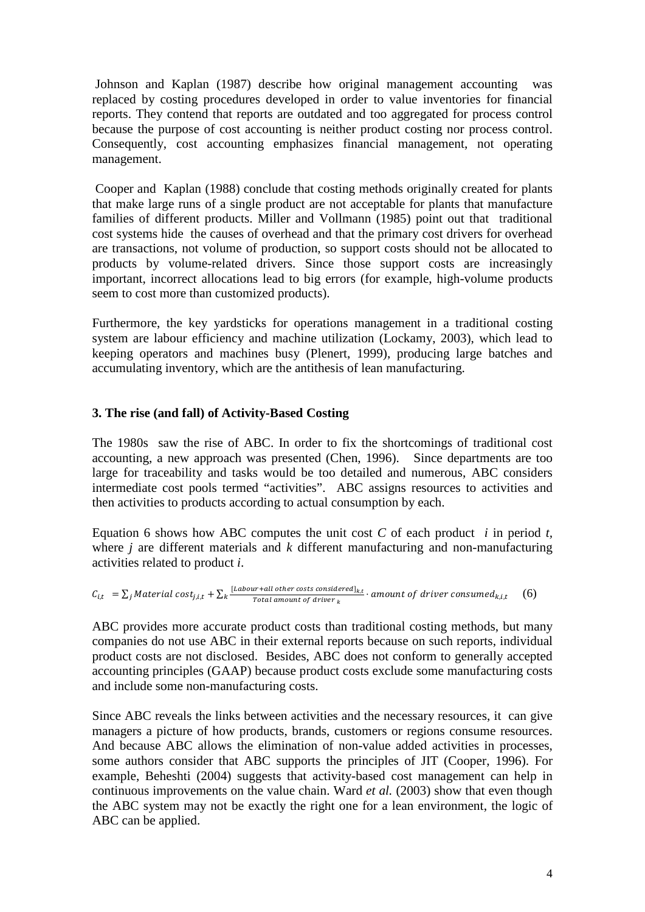Johnson and Kaplan (1987) describe how original management accounting was replaced by costing procedures developed in order to value inventories for financial reports. They contend that reports are outdated and too aggregated for process control because the purpose of cost accounting is neither product costing nor process control. Consequently, cost accounting emphasizes financial management, not operating management.

Cooper and Kaplan (1988) conclude that costing methods originally created for plants that make large runs of a single product are not acceptable for plants that manufacture families of different products. Miller and Vollmann (1985) point out that traditional cost systems hide the causes of overhead and that the primary cost drivers for overhead are transactions, not volume of production, so support costs should not be allocated to products by volume-related drivers. Since those support costs are increasingly important, incorrect allocations lead to big errors (for example, high-volume products seem to cost more than customized products).

Furthermore, the key yardsticks for operations management in a traditional costing system are labour efficiency and machine utilization (Lockamy, 2003), which lead to keeping operators and machines busy (Plenert, 1999), producing large batches and accumulating inventory, which are the antithesis of lean manufacturing.

## **3. The rise (and fall) of Activity-Based Costing**

The 1980s saw the rise of ABC. In order to fix the shortcomings of traditional cost accounting, a new approach was presented (Chen, 1996). Since departments are too large for traceability and tasks would be too detailed and numerous, ABC considers intermediate cost pools termed "activities". ABC assigns resources to activities and then activities to products according to actual consumption by each.

Equation 6 shows how ABC computes the unit cost *C* of each product *i* in period *t,* where *j* are different materials and *k* different manufacturing and non-manufacturing activities related to product *i*.

$$
C_{i,t} = \sum_j Material\ cost_{j,i,t} + \sum_k \frac{[Labelour + all\ other\ costs\ considered]_{k,t}}{Total\ amount\ of\ driver\ k} \cdot amount\ of\ driver\ consumed_{k,i,t}
$$
 (6)

ABC provides more accurate product costs than traditional costing methods, but many companies do not use ABC in their external reports because on such reports, individual product costs are not disclosed. Besides, ABC does not conform to generally accepted accounting principles (GAAP) because product costs exclude some manufacturing costs and include some non-manufacturing costs.

Since ABC reveals the links between activities and the necessary resources, it can give managers a picture of how products, brands, customers or regions consume resources. And because ABC allows the elimination of non-value added activities in processes, some authors consider that ABC supports the principles of JIT (Cooper, 1996). For example, Beheshti (2004) suggests that activity-based cost management can help in continuous improvements on the value chain. Ward *et al.* (2003) show that even though the ABC system may not be exactly the right one for a lean environment, the logic of ABC can be applied.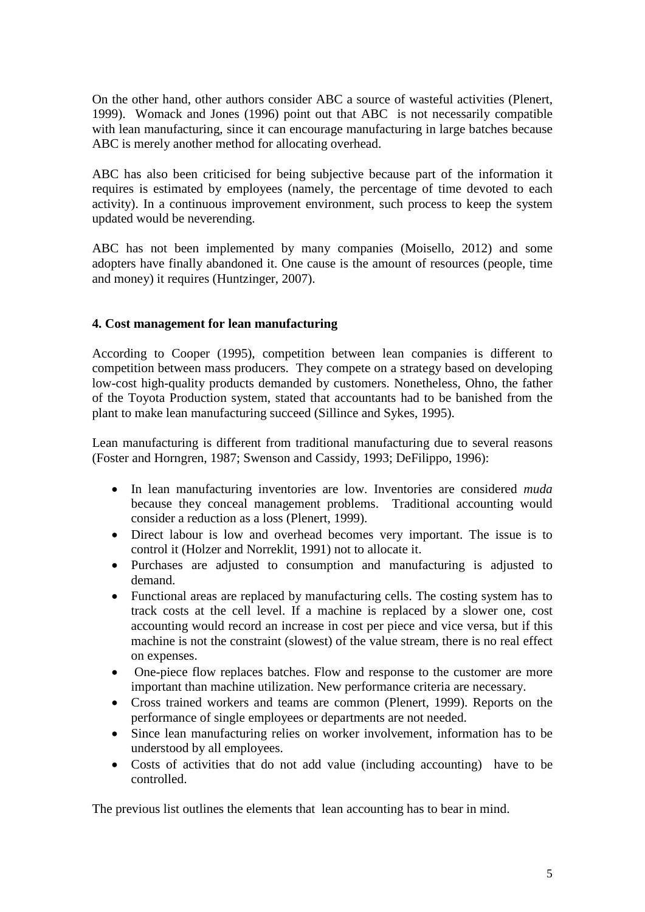On the other hand, other authors consider ABC a source of wasteful activities (Plenert, 1999). Womack and Jones (1996) point out that ABC is not necessarily compatible with lean manufacturing, since it can encourage manufacturing in large batches because ABC is merely another method for allocating overhead.

ABC has also been criticised for being subjective because part of the information it requires is estimated by employees (namely, the percentage of time devoted to each activity). In a continuous improvement environment, such process to keep the system updated would be neverending.

ABC has not been implemented by many companies (Moisello, 2012) and some adopters have finally abandoned it. One cause is the amount of resources (people, time and money) it requires (Huntzinger, 2007).

## **4. Cost management for lean manufacturing**

According to Cooper (1995), competition between lean companies is different to competition between mass producers. They compete on a strategy based on developing low-cost high-quality products demanded by customers. Nonetheless, Ohno, the father of the Toyota Production system, stated that accountants had to be banished from the plant to make lean manufacturing succeed (Sillince and Sykes, 1995).

Lean manufacturing is different from traditional manufacturing due to several reasons (Foster and Horngren, 1987; Swenson and Cassidy, 1993; DeFilippo, 1996):

- In lean manufacturing inventories are low. Inventories are considered *muda* because they conceal management problems. Traditional accounting would consider a reduction as a loss (Plenert, 1999).
- Direct labour is low and overhead becomes very important. The issue is to control it (Holzer and Norreklit, 1991) not to allocate it.
- Purchases are adjusted to consumption and manufacturing is adjusted to demand.
- Functional areas are replaced by manufacturing cells. The costing system has to track costs at the cell level. If a machine is replaced by a slower one, cost accounting would record an increase in cost per piece and vice versa, but if this machine is not the constraint (slowest) of the value stream, there is no real effect on expenses.
- One-piece flow replaces batches. Flow and response to the customer are more important than machine utilization. New performance criteria are necessary.
- Cross trained workers and teams are common (Plenert, 1999). Reports on the performance of single employees or departments are not needed.
- Since lean manufacturing relies on worker involvement, information has to be understood by all employees.
- Costs of activities that do not add value (including accounting) have to be controlled.

The previous list outlines the elements that lean accounting has to bear in mind.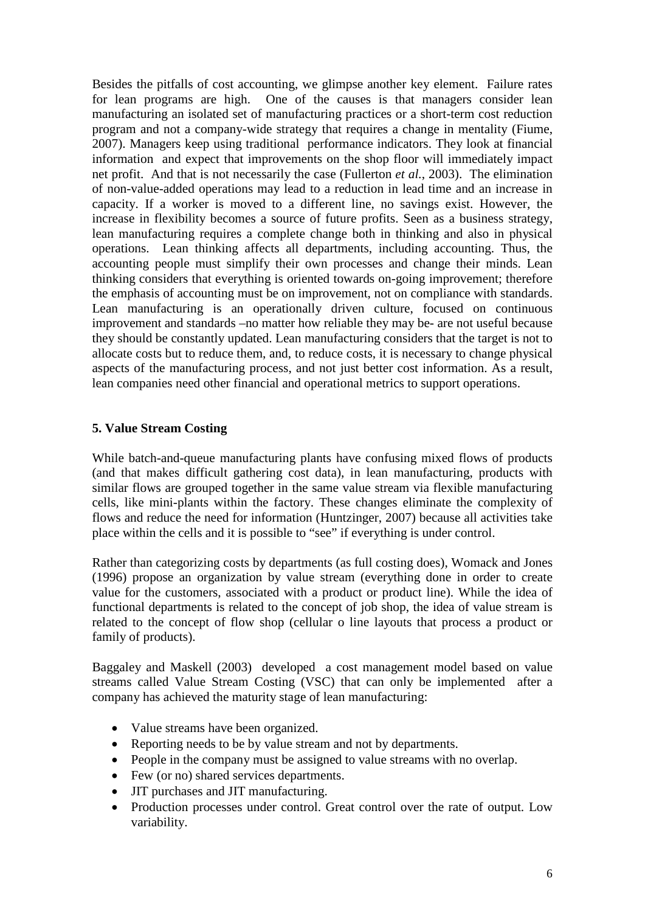Besides the pitfalls of cost accounting, we glimpse another key element. Failure rates for lean programs are high. One of the causes is that managers consider lean One of the causes is that managers consider lean manufacturing an isolated set of manufacturing practices or a short-term cost reduction program and not a company-wide strategy that requires a change in mentality (Fiume, 2007). Managers keep using traditional performance indicators. They look at financial information and expect that improvements on the shop floor will immediately impact net profit. And that is not necessarily the case (Fullerton *et al.*, 2003). The elimination of non-value-added operations may lead to a reduction in lead time and an increase in capacity. If a worker is moved to a different line, no savings exist. However, the increase in flexibility becomes a source of future profits. Seen as a business strategy, lean manufacturing requires a complete change both in thinking and also in physical operations. Lean thinking affects all departments, including accounting. Thus, the accounting people must simplify their own processes and change their minds. Lean thinking considers that everything is oriented towards on-going improvement; therefore the emphasis of accounting must be on improvement, not on compliance with standards. Lean manufacturing is an operationally driven culture, focused on continuous improvement and standards –no matter how reliable they may be- are not useful because they should be constantly updated. Lean manufacturing considers that the target is not to allocate costs but to reduce them, and, to reduce costs, it is necessary to change physical aspects of the manufacturing process, and not just better cost information. As a result, lean companies need other financial and operational metrics to support operations.

## **5. Value Stream Costing**

While batch-and-queue manufacturing plants have confusing mixed flows of products (and that makes difficult gathering cost data), in lean manufacturing, products with similar flows are grouped together in the same value stream via flexible manufacturing cells, like mini-plants within the factory. These changes eliminate the complexity of flows and reduce the need for information (Huntzinger, 2007) because all activities take place within the cells and it is possible to "see" if everything is under control.

Rather than categorizing costs by departments (as full costing does), Womack and Jones (1996) propose an organization by value stream (everything done in order to create value for the customers, associated with a product or product line). While the idea of functional departments is related to the concept of job shop, the idea of value stream is related to the concept of flow shop (cellular o line layouts that process a product or family of products).

Baggaley and Maskell (2003) developed a cost management model based on value streams called Value Stream Costing (VSC) that can only be implemented after a company has achieved the maturity stage of lean manufacturing:

- Value streams have been organized.
- Reporting needs to be by value stream and not by departments.
- People in the company must be assigned to value streams with no overlap.
- Few (or no) shared services departments.
- JIT purchases and JIT manufacturing.
- Production processes under control. Great control over the rate of output. Low variability.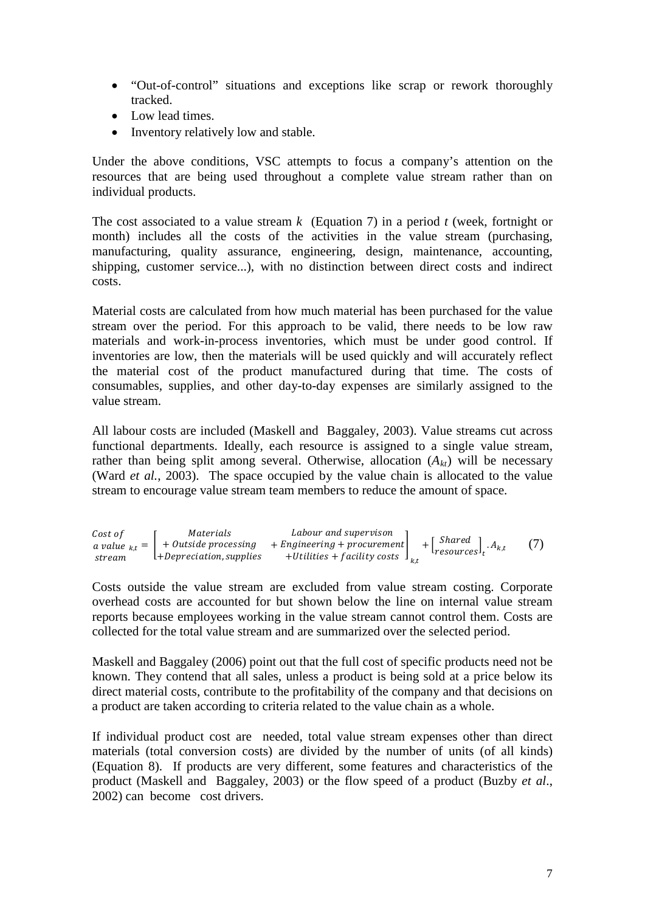- "Out-of-control" situations and exceptions like scrap or rework thoroughly tracked.
- Low lead times.
- Inventory relatively low and stable.

Under the above conditions, VSC attempts to focus a company's attention on the resources that are being used throughout a complete value stream rather than on individual products.

The cost associated to a value stream *k* (Equation 7) in a period *t* (week, fortnight or month) includes all the costs of the activities in the value stream (purchasing, manufacturing, quality assurance, engineering, design, maintenance, accounting, shipping, customer service...), with no distinction between direct costs and indirect costs.

Material costs are calculated from how much material has been purchased for the value stream over the period. For this approach to be valid, there needs to be low raw materials and work-in-process inventories, which must be under good control. If inventories are low, then the materials will be used quickly and will accurately reflect the material cost of the product manufactured during that time. The costs of consumables, supplies, and other day-to-day expenses are similarly assigned to the value stream.

All labour costs are included (Maskell and Baggaley, 2003). Value streams cut across functional departments. Ideally, each resource is assigned to a single value stream, rather than being split among several. Otherwise, allocation  $(A_{kt})$  will be necessary (Ward *et al.*, 2003). The space occupied by the value chain is allocated to the value stream to encourage value stream team members to reduce the amount of space.

| Cost of | Materials                  | Labour and supervison                                                               |                                                                           |     |
|---------|----------------------------|-------------------------------------------------------------------------------------|---------------------------------------------------------------------------|-----|
|         |                            | a value $_{k,t} = \left  +0$ utside processing $+Engineering + procurement \right $ | $+\left[\begin{matrix} Shared \\ resources \end{matrix}\right]_t.A_{k,t}$ | (7) |
| stream  | $l+Depreciation, supplies$ | +Utilities + facility costs $\int_{k,t}$                                            |                                                                           |     |

Costs outside the value stream are excluded from value stream costing. Corporate overhead costs are accounted for but shown below the line on internal value stream reports because employees working in the value stream cannot control them. Costs are collected for the total value stream and are summarized over the selected period.

Maskell and Baggaley (2006) point out that the full cost of specific products need not be known. They contend that all sales, unless a product is being sold at a price below its direct material costs, contribute to the profitability of the company and that decisions on a product are taken according to criteria related to the value chain as a whole.

If individual product cost are needed, total value stream expenses other than direct materials (total conversion costs) are divided by the number of units (of all kinds) (Equation 8). If products are very different, some features and characteristics of the product (Maskell and Baggaley, 2003) or the flow speed of a product (Buzby *et al*., 2002) can become cost drivers.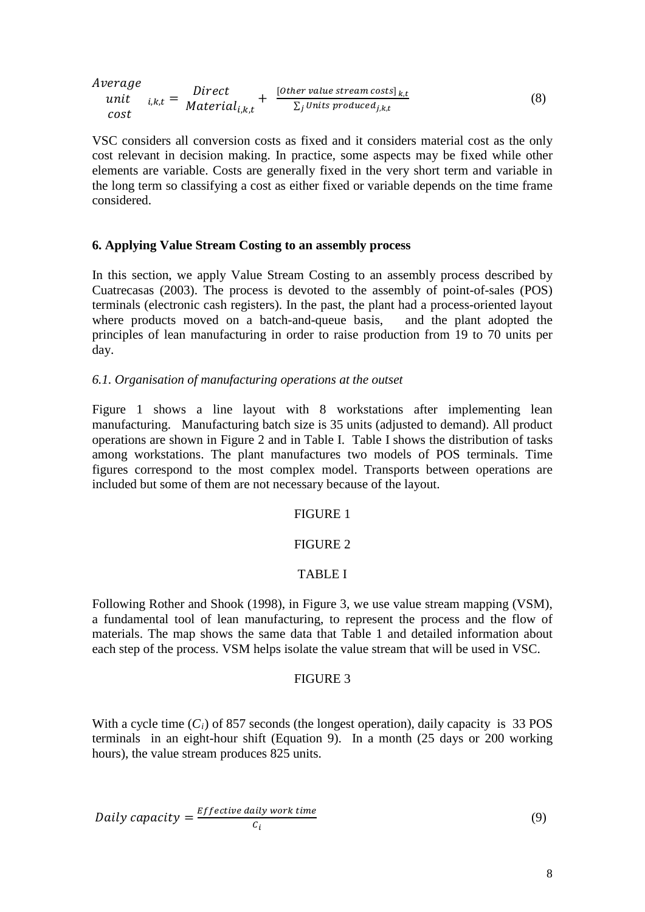$$
Average\nunit\n\qquad i, k, t = Direct\n\qquad \frac{Direct}{Material_{i,k,t}} + \frac{[Other value stream costs]_{k,t}}{\sum_{j} Units produced_{j,k,t}}\n\tag{8}
$$

VSC considers all conversion costs as fixed and it considers material cost as the only cost relevant in decision making. In practice, some aspects may be fixed while other elements are variable. Costs are generally fixed in the very short term and variable in the long term so classifying a cost as either fixed or variable depends on the time frame considered.

### **6. Applying Value Stream Costing to an assembly process**

In this section, we apply Value Stream Costing to an assembly process described by Cuatrecasas (2003). The process is devoted to the assembly of point-of-sales (POS) terminals (electronic cash registers). In the past, the plant had a process-oriented layout where products moved on a batch-and-queue basis, principles of lean manufacturing in order to raise production from 19 to 70 units per day.

### *6.1. Organisation of manufacturing operations at the outset*

Figure 1 shows a line layout with 8 workstations after implementing lean manufacturing. Manufacturing batch size is 35 units (adjusted to demand). All product operations are shown in Figure 2 and in Table I. Table I shows the distribution of tasks among workstations. The plant manufactures two models of POS terminals. Time figures correspond to the most complex model. Transports between operations are included but some of them are not necessary because of the layout.

### FIGURE 1

#### FIGURE 2

#### TABLE I

Following Rother and Shook (1998), in Figure 3, we use value stream mapping (VSM), a fundamental tool of lean manufacturing, to represent the process and the flow of materials. The map shows the same data that Table 1 and detailed information about each step of the process. VSM helps isolate the value stream that will be used in VSC.

#### FIGURE 3

With a cycle time  $(C_i)$  of 857 seconds (the longest operation), daily capacity is 33 POS terminals in an eight-hour shift (Equation 9). In a month (25 days or 200 working hours), the value stream produces 825 units.

Daily capacity = 
$$
\frac{Effective \text{ daily work time}}{c_i}
$$
 (9)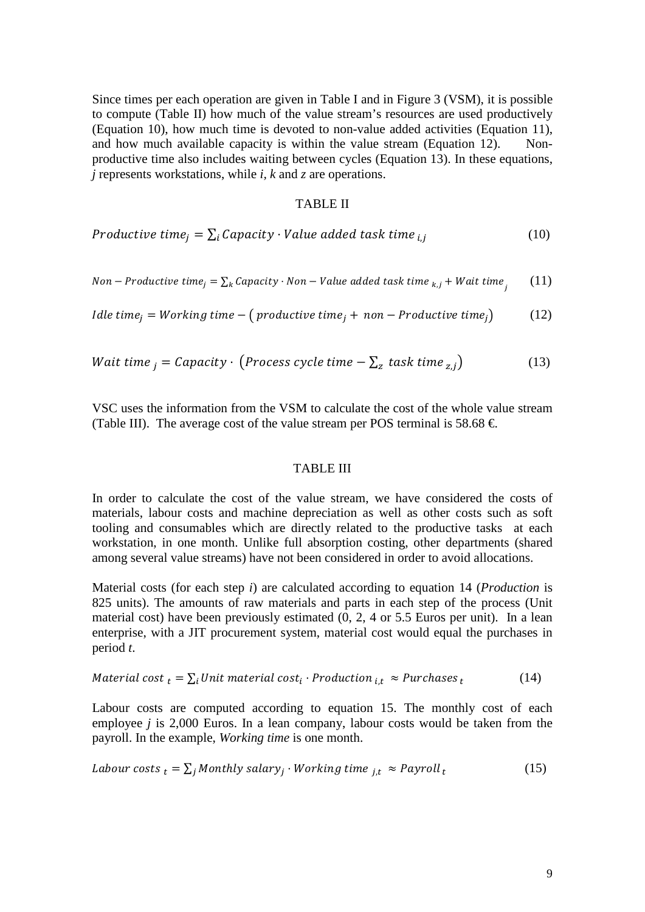Since times per each operation are given in Table I and in Figure 3 (VSM), it is possible to compute (Table II) how much of the value stream's resources are used productively (Equation 10), how much time is devoted to non-value added activities (Equation 11), and how much available capacity is within the value stream (Equation 12). Nonproductive time also includes waiting between cycles (Equation 13). In these equations, *j* represents workstations, while *i, k* and *z* are operations.

#### TABLE II

Productive time<sub>j</sub> = 
$$
\sum_i
$$
 Capacity  $\cdot$  Value added task time <sub>i,j</sub> (10)

Non–Productive time<sub>j</sub> = 
$$
\sum_k
$$
 Capacity · Non – Value added task time <sub>k,j</sub> + Wait time<sub>j</sub> (11)

*Idle time<sub>i</sub>* = *Working time* –  $(p$ *roductive time<sub>i</sub>* + *non* – *Productive time<sub>i</sub>* $)$  (12)

Wait time 
$$
_j = Capacity \cdot (Process cycle time - \sum_z task time_{z,j})
$$
 (13)

VSC uses the information from the VSM to calculate the cost of the whole value stream (Table III). The average cost of the value stream per POS terminal is 58.68  $\in$ 

### TABLE III

In order to calculate the cost of the value stream, we have considered the costs of materials, labour costs and machine depreciation as well as other costs such as soft tooling and consumables which are directly related to the productive tasks at each workstation, in one month. Unlike full absorption costing, other departments (shared among several value streams) have not been considered in order to avoid allocations.

Material costs (for each step *i*) are calculated according to equation 14 (*Production* is 825 units). The amounts of raw materials and parts in each step of the process (Unit material cost) have been previously estimated (0, 2, 4 or 5.5 Euros per unit). In a lean enterprise, with a JIT procurement system, material cost would equal the purchases in period *t*.

$$
Material cost_t = \sum_i Unit \ material \ cost_i \cdot Production_{i,t} \approx Purchases_t \tag{14}
$$

Labour costs are computed according to equation 15. The monthly cost of each employee *j* is 2,000 Euros. In a lean company, labour costs would be taken from the payroll. In the example, *Working time* is one month.

*Labour costs* 
$$
_t = \sum_j
$$
 *Monthly salary* <sup>$j$</sup>  *Working time*  $_{j,t} \approx \text{Payroll}_t$  (15)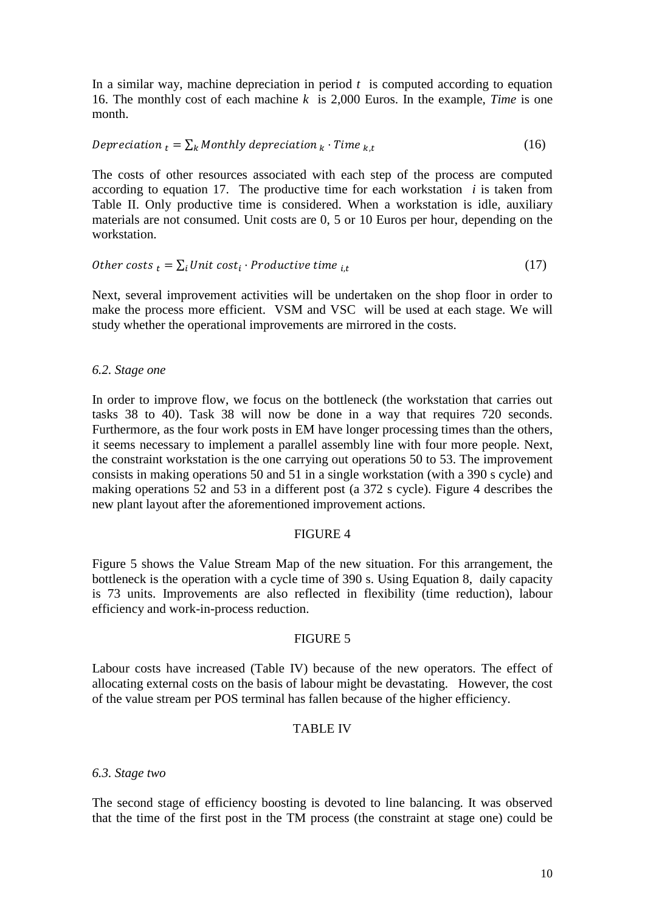In a similar way, machine depreciation in period  $t$  is computed according to equation 16. The monthly cost of each machine *k* is 2,000 Euros. In the example, *Time* is one month.

$$
Depreciation_t = \sum_k Monthly\,\,depreciation_k \cdot Time_{k,t} \tag{16}
$$

The costs of other resources associated with each step of the process are computed according to equation 17. The productive time for each workstation *i* is taken from Table II. Only productive time is considered. When a workstation is idle, auxiliary materials are not consumed. Unit costs are 0, 5 or 10 Euros per hour, depending on the workstation.

Other costs 
$$
t = \sum_{i} Unit \ cost_{i} \cdot Productive \ time \ i, t
$$
 (17)

Next, several improvement activities will be undertaken on the shop floor in order to make the process more efficient. VSM and VSC will be used at each stage. We will study whether the operational improvements are mirrored in the costs.

#### *6.2. Stage one*

In order to improve flow, we focus on the bottleneck (the workstation that carries out tasks 38 to 40). Task 38 will now be done in a way that requires 720 seconds. Furthermore, as the four work posts in EM have longer processing times than the others, it seems necessary to implement a parallel assembly line with four more people. Next, the constraint workstation is the one carrying out operations 50 to 53. The improvement consists in making operations 50 and 51 in a single workstation (with a 390 s cycle) and making operations 52 and 53 in a different post (a 372 s cycle). Figure 4 describes the new plant layout after the aforementioned improvement actions.

## FIGURE 4

Figure 5 shows the Value Stream Map of the new situation. For this arrangement, the bottleneck is the operation with a cycle time of 390 s. Using Equation 8, daily capacity is 73 units. Improvements are also reflected in flexibility (time reduction), labour efficiency and work-in-process reduction.

#### FIGURE 5

Labour costs have increased (Table IV) because of the new operators. The effect of allocating external costs on the basis of labour might be devastating. However, the cost of the value stream per POS terminal has fallen because of the higher efficiency.

### TABLE IV

#### *6.3. Stage two*

The second stage of efficiency boosting is devoted to line balancing. It was observed that the time of the first post in the TM process (the constraint at stage one) could be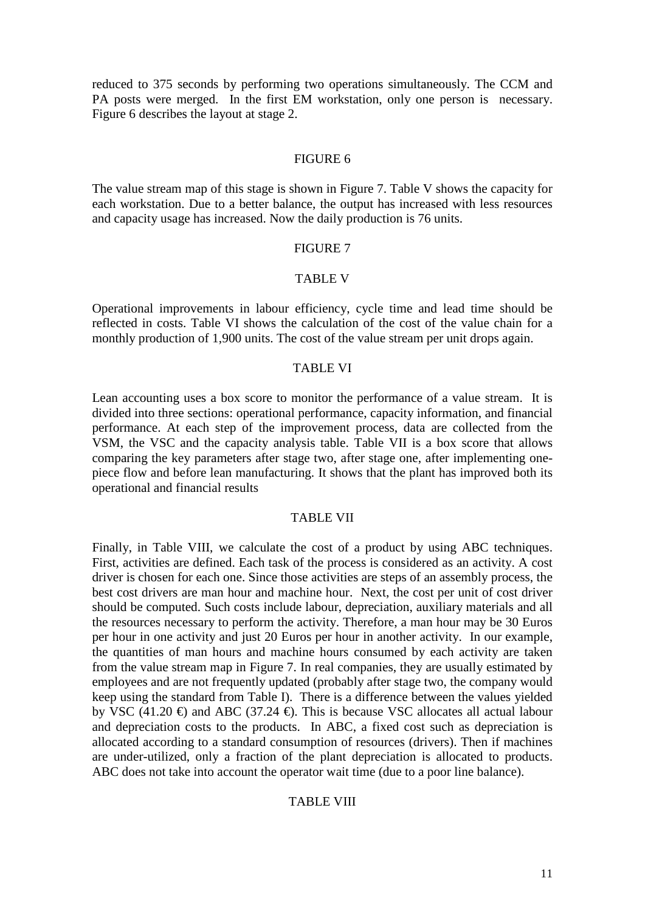reduced to 375 seconds by performing two operations simultaneously. The CCM and PA posts were merged. In the first EM workstation, only one person is necessary. Figure 6 describes the layout at stage 2.

## FIGURE 6

The value stream map of this stage is shown in Figure 7. Table V shows the capacity for each workstation. Due to a better balance, the output has increased with less resources and capacity usage has increased. Now the daily production is 76 units.

## FIGURE 7

### TABLE V

Operational improvements in labour efficiency, cycle time and lead time should be reflected in costs. Table VI shows the calculation of the cost of the value chain for a monthly production of 1,900 units. The cost of the value stream per unit drops again.

#### TABLE VI

Lean accounting uses a box score to monitor the performance of a value stream. It is divided into three sections: operational performance, capacity information, and financial performance. At each step of the improvement process, data are collected from the VSM, the VSC and the capacity analysis table. Table VII is a box score that allows comparing the key parameters after stage two, after stage one, after implementing onepiece flow and before lean manufacturing. It shows that the plant has improved both its operational and financial results

### TABLE VII

Finally, in Table VIII, we calculate the cost of a product by using ABC techniques. First, activities are defined. Each task of the process is considered as an activity. A cost driver is chosen for each one. Since those activities are steps of an assembly process, the best cost drivers are man hour and machine hour. Next, the cost per unit of cost driver should be computed. Such costs include labour, depreciation, auxiliary materials and all the resources necessary to perform the activity. Therefore, a man hour may be 30 Euros per hour in one activity and just 20 Euros per hour in another activity. In our example, the quantities of man hours and machine hours consumed by each activity are taken from the value stream map in Figure 7. In real companies, they are usually estimated by employees and are not frequently updated (probably after stage two, the company would keep using the standard from Table I). There is a difference between the values yielded by VSC (41.20  $\oplus$ ) and ABC (37.24  $\oplus$ ). This is because VSC allocates all actual labour and depreciation costs to the products. In ABC, a fixed cost such as depreciation is allocated according to a standard consumption of resources (drivers). Then if machines are under-utilized, only a fraction of the plant depreciation is allocated to products. ABC does not take into account the operator wait time (due to a poor line balance).

## TABLE VIII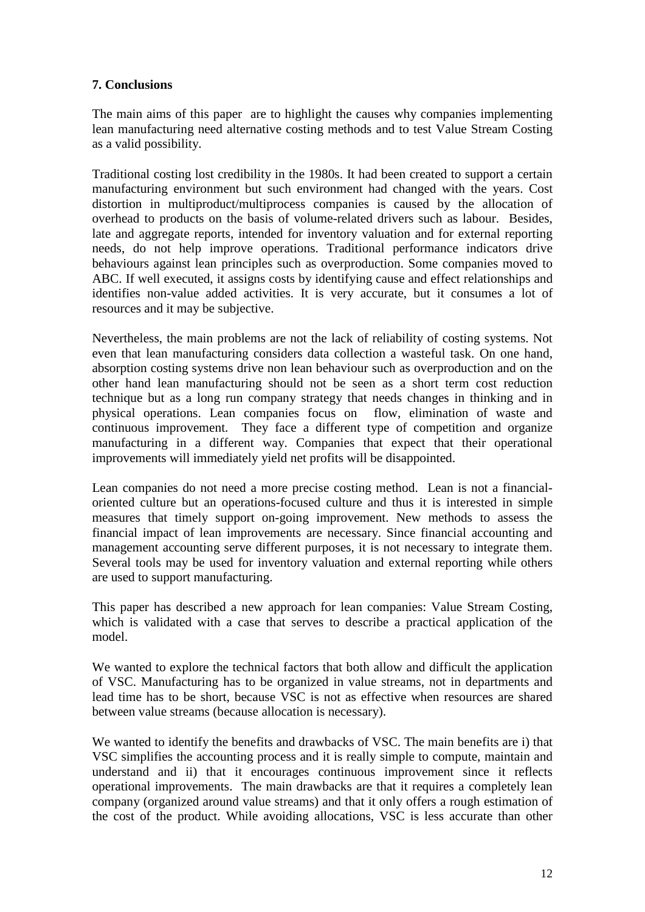## **7. Conclusions**

The main aims of this paper are to highlight the causes why companies implementing lean manufacturing need alternative costing methods and to test Value Stream Costing as a valid possibility.

Traditional costing lost credibility in the 1980s. It had been created to support a certain manufacturing environment but such environment had changed with the years. Cost distortion in multiproduct/multiprocess companies is caused by the allocation of overhead to products on the basis of volume-related drivers such as labour. Besides, late and aggregate reports, intended for inventory valuation and for external reporting needs, do not help improve operations. Traditional performance indicators drive behaviours against lean principles such as overproduction. Some companies moved to ABC. If well executed, it assigns costs by identifying cause and effect relationships and identifies non-value added activities. It is very accurate, but it consumes a lot of resources and it may be subjective.

Nevertheless, the main problems are not the lack of reliability of costing systems. Not even that lean manufacturing considers data collection a wasteful task. On one hand, absorption costing systems drive non lean behaviour such as overproduction and on the other hand lean manufacturing should not be seen as a short term cost reduction technique but as a long run company strategy that needs changes in thinking and in physical operations. Lean companies focus on flow, elimination of waste and physical operations. Lean companies focus on continuous improvement. They face a different type of competition and organize manufacturing in a different way. Companies that expect that their operational improvements will immediately yield net profits will be disappointed.

Lean companies do not need a more precise costing method. Lean is not a financialoriented culture but an operations-focused culture and thus it is interested in simple measures that timely support on-going improvement. New methods to assess the financial impact of lean improvements are necessary. Since financial accounting and management accounting serve different purposes, it is not necessary to integrate them. Several tools may be used for inventory valuation and external reporting while others are used to support manufacturing.

This paper has described a new approach for lean companies: Value Stream Costing, which is validated with a case that serves to describe a practical application of the model.

We wanted to explore the technical factors that both allow and difficult the application of VSC. Manufacturing has to be organized in value streams, not in departments and lead time has to be short, because VSC is not as effective when resources are shared between value streams (because allocation is necessary).

We wanted to identify the benefits and drawbacks of VSC. The main benefits are i) that VSC simplifies the accounting process and it is really simple to compute, maintain and understand and ii) that it encourages continuous improvement since it reflects operational improvements. The main drawbacks are that it requires a completely lean company (organized around value streams) and that it only offers a rough estimation of the cost of the product. While avoiding allocations, VSC is less accurate than other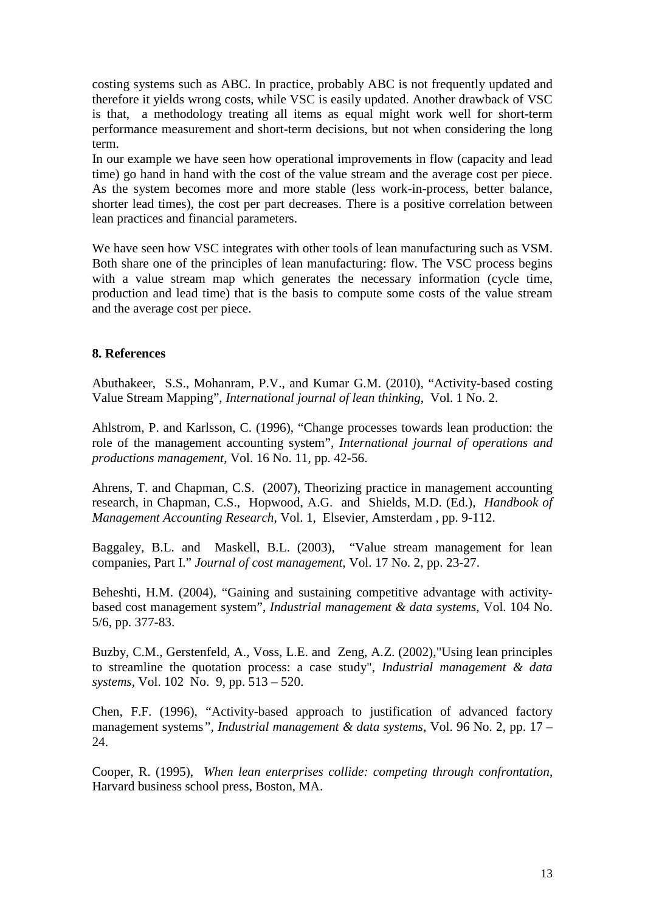costing systems such as ABC. In practice, probably ABC is not frequently updated and therefore it yields wrong costs, while VSC is easily updated. Another drawback of VSC is that, a methodology treating all items as equal might work well for short-term performance measurement and short-term decisions, but not when considering the long term.

In our example we have seen how operational improvements in flow (capacity and lead time) go hand in hand with the cost of the value stream and the average cost per piece. As the system becomes more and more stable (less work-in-process, better balance, shorter lead times), the cost per part decreases. There is a positive correlation between lean practices and financial parameters.

We have seen how VSC integrates with other tools of lean manufacturing such as VSM. Both share one of the principles of lean manufacturing: flow. The VSC process begins with a value stream map which generates the necessary information (cycle time, production and lead time) that is the basis to compute some costs of the value stream and the average cost per piece.

## **8. References**

Abuthakeer, S.S., Mohanram, P.V., and Kumar G.M. (2010), "Activity-based costing Value Stream Mapping", *International journal of lean thinking*, Vol. 1 No. 2.

Ahlstrom, P. and Karlsson, C. (1996), "Change processes towards lean production: the role of the management accounting system", *International journal of operations and productions management*, Vol. 16 No. 11, pp. 42-56.

Ahrens, T. and Chapman, C.S. (2007), Theorizing practice in management accounting research, in Chapman, C.S., Hopwood, A.G. and Shields, M.D. (Ed.), *Handbook of Management Accounting Research*, Vol. 1, Elsevier, Amsterdam , pp. 9-112.

Baggaley, B.L. and Maskell, B.L. (2003), "Value stream management for lean companies, Part I." *Journal of cost management*, Vol. 17 No. 2, pp. 23-27.

Beheshti, H.M. (2004), "Gaining and sustaining competitive advantage with activitybased cost management system", *Industrial management & data systems*, Vol. 104 No. 5/6, pp. 377-83.

Buzby, C.M., Gerstenfeld, A., Voss, L.E. and Zeng, A.Z. (2002),"Using lean principles to streamline the quotation process: a case study", *Industrial management & data systems,* Vol. 102 No. 9, pp. 513 – 520.

Chen, F.F. (1996), "Activity-based approach to justification of advanced factory management systems*", Industrial management & data systems*, Vol. 96 No. 2, pp. 17 – 24.

Cooper, R. (1995), *When lean enterprises collide: competing through confrontation*, Harvard business school press, Boston, MA.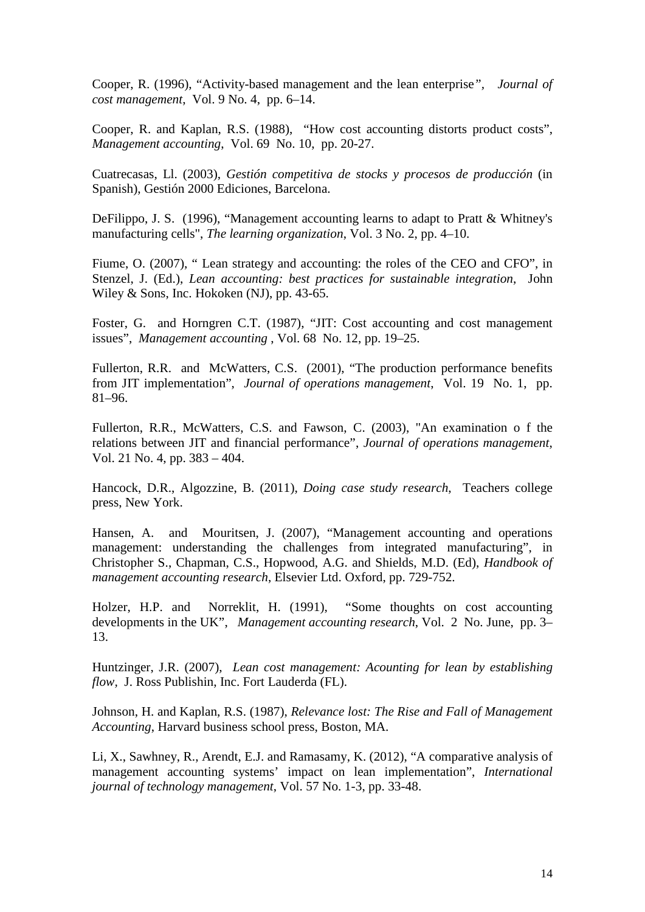Cooper, R. (1996), "Activity-based management and the lean enterprise*", Journal of cost management*, Vol. 9 No. 4, pp. 6–14.

Cooper, R. and Kaplan, R.S. (1988), "How cost accounting distorts product costs", *Management accounting*, Vol. 69 No. 10, pp. 20-27.

Cuatrecasas, Ll. (2003), *Gestión competitiva de stocks y procesos de producción* (in Spanish), Gestión 2000 Ediciones, Barcelona.

DeFilippo, J. S. (1996), "Management accounting learns to adapt to Pratt & Whitney's manufacturing cells", *The learning organization*, Vol. 3 No. 2, pp. 4–10.

Fiume, O. (2007), " Lean strategy and accounting: the roles of the CEO and CFO", in Stenzel, J. (Ed.), *Lean accounting: best practices for sustainable integration*, John Wiley & Sons, Inc. Hokoken (NJ), pp. 43-65.

Foster, G. and Horngren C.T. (1987), "JIT: Cost accounting and cost management issues", *Management accounting* , Vol. 68 No. 12, pp. 19–25.

Fullerton, R.R. and McWatters, C.S. (2001), "The production performance benefits from JIT implementation", *Journal of operations management*, Vol. 19 No. 1, pp. 81–96.

Fullerton, R.R., McWatters, C.S. and Fawson, C. (2003), "An examination o f the relations between JIT and financial performance", *Journal of operations management*, Vol. 21 No. 4, pp. 383 – 404.

Hancock, D.R., Algozzine, B. (2011), *Doing case study research*, Teachers college press, New York.

Hansen, A. and Mouritsen, J. (2007), "Management accounting and operations management: understanding the challenges from integrated manufacturing", in Christopher S., Chapman, C.S., Hopwood, A.G. and Shields, M.D. (Ed), *Handbook of management accounting research*, Elsevier Ltd. Oxford, pp. 729-752.

Holzer, H.P. and Norreklit, H. (1991), "Some thoughts on cost accounting developments in the UK", *Management accounting research*, Vol. 2 No. June, pp. 3– 13.

Huntzinger, J.R. (2007), *Lean cost management: Acounting for lean by establishing flow,* J. Ross Publishin, Inc. Fort Lauderda (FL).

Johnson, H. and Kaplan, R.S. (1987), *Relevance lost: The Rise and Fall of Management Accounting*, Harvard business school press, Boston, MA.

Li, X., Sawhney, R., Arendt, E.J. and Ramasamy, K. (2012), "A comparative analysis of management accounting systems' impact on lean implementation", *International journal of technology management*, Vol. 57 No. 1-3, pp. 33-48.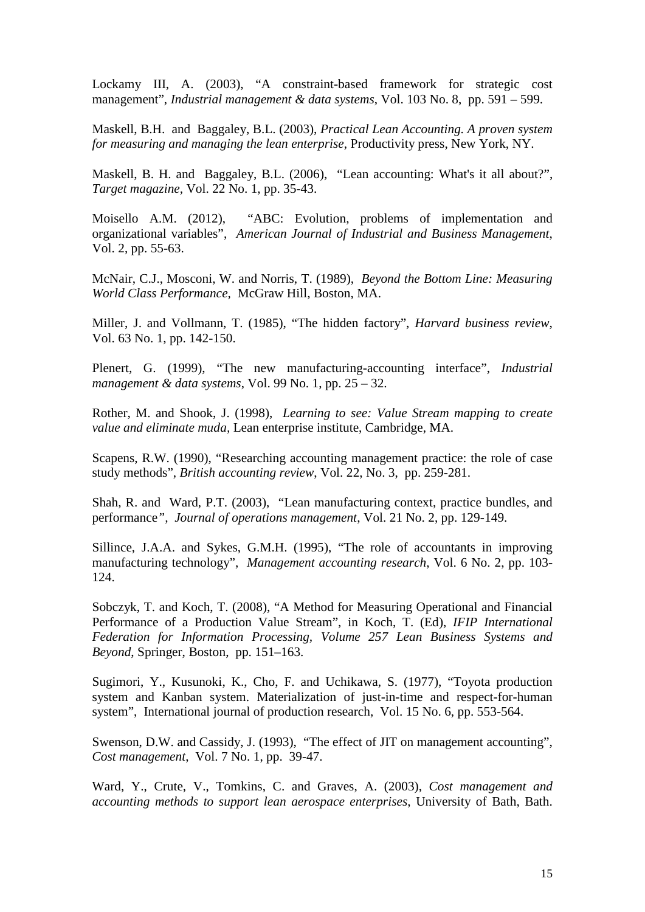Lockamy III, A. (2003), "A constraint-based framework for strategic cost management", *Industrial management & data systems*, Vol. 103 No. 8, pp. 591 – 599.

Maskell, B.H. and Baggaley, B.L. (2003), *Practical Lean Accounting. A proven system for measuring and managing the lean enterprise*, Productivity press, New York, NY.

Maskell, B. H. and Baggaley, B.L. (2006), "Lean accounting: What's it all about?", *Target magazine,* Vol. 22 No. 1, pp. 35-43.

Moisello A.M. (2012), "ABC: Evolution, problems of implementation and organizational variables", *American Journal of Industrial and Business Management*, Vol. 2, pp. 55-63.

McNair, C.J., Mosconi, W. and Norris, T. (1989), *Beyond the Bottom Line: Measuring World Class Performance,* McGraw Hill, Boston, MA.

Miller, J. and Vollmann, T. (1985), "The hidden factory", *Harvard business review*, Vol. 63 No. 1, pp. 142-150.

Plenert, G. (1999), "The new manufacturing-accounting interface", *Industrial management & data systems*, Vol. 99 No. 1, pp. 25 – 32.

Rother, M. and Shook, J. (1998), *Learning to see: Value Stream mapping to create value and eliminate muda,* Lean enterprise institute, Cambridge, MA.

Scapens, R.W. (1990), "Researching accounting management practice: the role of case study methods", *British accounting review*, Vol. 22, No. 3, pp. 259-281.

Shah, R. and Ward, P.T. (2003), "Lean manufacturing context, practice bundles, and performance*", Journal of operations management*, Vol. 21 No. 2, pp. 129-149.

Sillince, J.A.A. and Sykes, G.M.H. (1995), "The role of accountants in improving manufacturing technology", *Management accounting research*, Vol. 6 No. 2, pp. 103- 124.

Sobczyk, T. and Koch, T. (2008), "A Method for Measuring Operational and Financial Performance of a Production Value Stream", in Koch, T. (Ed), *IFIP International Federation for Information Processing, Volume 257 Lean Business Systems and Beyond*, Springer, Boston, pp. 151–163.

Sugimori, Y., Kusunoki, K., Cho, F. and Uchikawa, S. (1977), "Toyota production system and Kanban system. Materialization of just-in-time and respect-for-human system", International journal of production research, Vol. 15 No. 6, pp. 553-564.

Swenson, D.W. and Cassidy, J. (1993), "The effect of JIT on management accounting", *Cost management*, Vol. 7 No. 1, pp. 39-47.

Ward, Y., Crute, V., Tomkins, C. and Graves, A. (2003), *Cost management and accounting methods to support lean aerospace enterprises*, University of Bath, Bath.